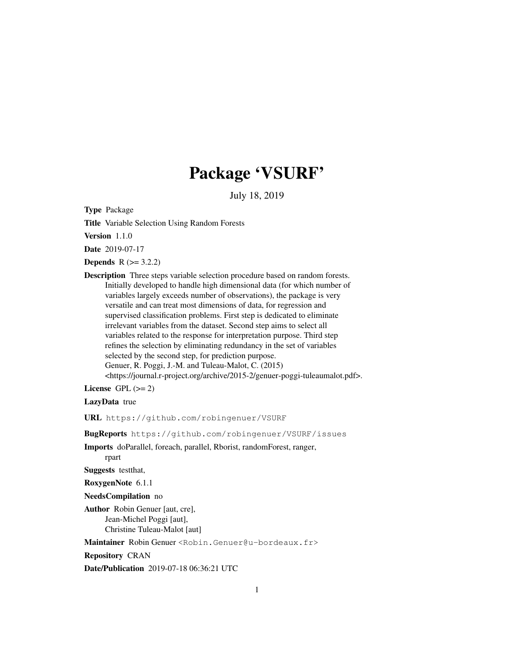# Package 'VSURF'

July 18, 2019

Type Package

Title Variable Selection Using Random Forests

Version 1.1.0

Date 2019-07-17

**Depends**  $R (= 3.2.2)$ 

Description Three steps variable selection procedure based on random forests. Initially developed to handle high dimensional data (for which number of variables largely exceeds number of observations), the package is very versatile and can treat most dimensions of data, for regression and supervised classification problems. First step is dedicated to eliminate irrelevant variables from the dataset. Second step aims to select all variables related to the response for interpretation purpose. Third step refines the selection by eliminating redundancy in the set of variables selected by the second step, for prediction purpose. Genuer, R. Poggi, J.-M. and Tuleau-Malot, C. (2015)

<https://journal.r-project.org/archive/2015-2/genuer-poggi-tuleaumalot.pdf>.

License GPL  $(>= 2)$ 

LazyData true

URL https://github.com/robingenuer/VSURF

BugReports https://github.com/robingenuer/VSURF/issues

Imports doParallel, foreach, parallel, Rborist, randomForest, ranger,

rpart

Suggests testthat,

RoxygenNote 6.1.1

NeedsCompilation no

Author Robin Genuer [aut, cre], Jean-Michel Poggi [aut], Christine Tuleau-Malot [aut]

Maintainer Robin Genuer <Robin.Genuer@u-bordeaux.fr>

Repository CRAN

Date/Publication 2019-07-18 06:36:21 UTC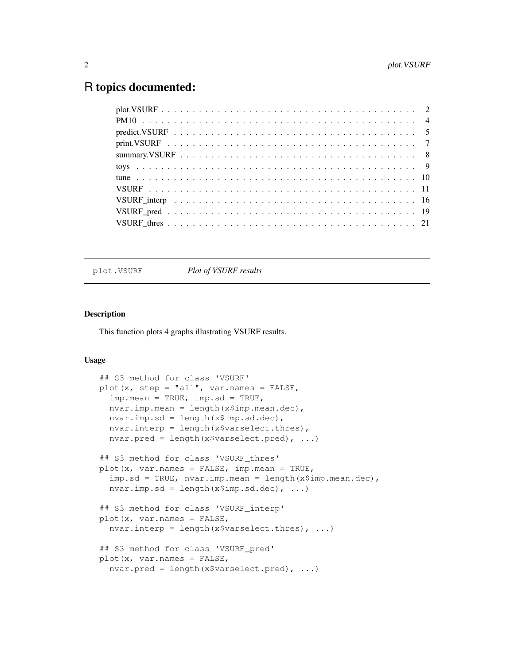# R topics documented:

plot.VSURF *Plot of VSURF results*

# Description

This function plots 4 graphs illustrating VSURF results.

# Usage

```
## S3 method for class 'VSURF'
plot(x, step = "all", var.names = FALSE,
  imp.mean = TRUE, imp.sd = TRUE,
  nvar.imp.mean = length(x$imp.mean.dec),
 nvar.imp.sd = length(x$imp.sd.dec),
  nvar.interp = length(x$varselect.thres),
  nvar.pred = length(x$varselect.pred), ...)
## S3 method for class 'VSURF thres'
plot(x, var.names = FALSE, imp.mean = TRUE,
  imp.sd = TRUE, nvar.imp.mean = length(x$imp.mean.dec),
  nvar.imp.sd = length(x$imp.sd.dec), ...)
## S3 method for class 'VSURF_interp'
plot(x, var.name = FALSE,nvar.interp = length(x$varselect.thres), \ldots)
## S3 method for class 'VSURF_pred'
plot(x, var.names = FALSE,
  nvar.pred = length(x$varselect.pred), ...)
```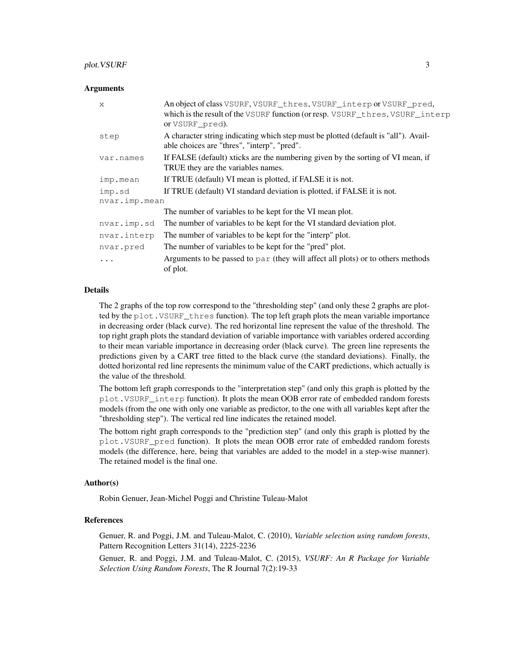#### **Arguments**

| X             | An object of class VSURF, VSURF_thres, VSURF_interp or VSURF_pred,<br>which is the result of the VSURF function (or resp. VSURF_thres, VSURF_interp<br>or VSURF pred). |  |
|---------------|------------------------------------------------------------------------------------------------------------------------------------------------------------------------|--|
| step          | A character string indicating which step must be plotted (default is "all"). Avail-<br>able choices are "thres", "interp", "pred".                                     |  |
| var.names     | If FALSE (default) xticks are the numbering given by the sorting of VI mean, if<br>TRUE they are the variables names.                                                  |  |
| imp.mean      | If TRUE (default) VI mean is plotted, if FALSE it is not.                                                                                                              |  |
| imp.sd        | If TRUE (default) VI standard deviation is plotted, if FALSE it is not.                                                                                                |  |
| nvar.imp.mean |                                                                                                                                                                        |  |
|               | The number of variables to be kept for the VI mean plot.                                                                                                               |  |
| nvar.imp.sd   | The number of variables to be kept for the VI standard deviation plot.                                                                                                 |  |
| nvar.interp   | The number of variables to be kept for the "interp" plot.                                                                                                              |  |
| nvar.pred     | The number of variables to be kept for the "pred" plot.                                                                                                                |  |
| $\ddotsc$     | Arguments to be passed to par (they will affect all plots) or to others methods<br>of plot.                                                                            |  |

# Details

The 2 graphs of the top row correspond to the "thresholding step" (and only these 2 graphs are plotted by the plot.VSURF\_thres function). The top left graph plots the mean variable importance in decreasing order (black curve). The red horizontal line represent the value of the threshold. The top right graph plots the standard deviation of variable importance with variables ordered according to their mean variable importance in decreasing order (black curve). The green line represents the predictions given by a CART tree fitted to the black curve (the standard deviations). Finally, the dotted horizontal red line represents the minimum value of the CART predictions, which actually is the value of the threshold.

The bottom left graph corresponds to the "interpretation step" (and only this graph is plotted by the plot.VSURF\_interp function). It plots the mean OOB error rate of embedded random forests models (from the one with only one variable as predictor, to the one with all variables kept after the "thresholding step"). The vertical red line indicates the retained model.

The bottom right graph corresponds to the "prediction step" (and only this graph is plotted by the plot.VSURF\_pred function). It plots the mean OOB error rate of embedded random forests models (the difference, here, being that variables are added to the model in a step-wise manner). The retained model is the final one.

#### Author(s)

Robin Genuer, Jean-Michel Poggi and Christine Tuleau-Malot

# References

Genuer, R. and Poggi, J.M. and Tuleau-Malot, C. (2010), *Variable selection using random forests*, Pattern Recognition Letters 31(14), 2225-2236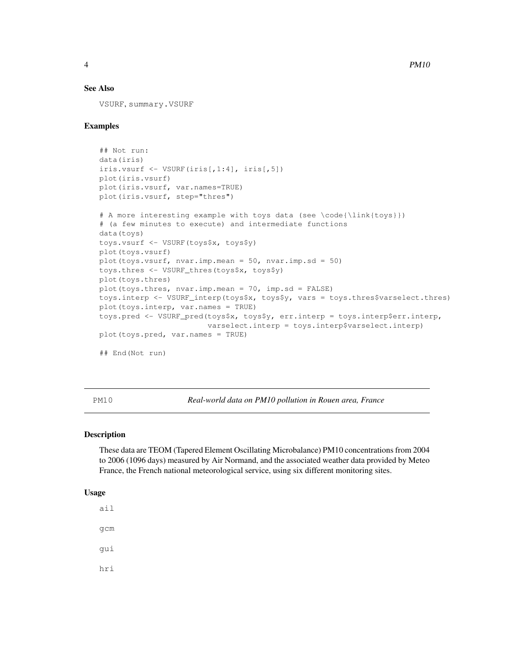# See Also

VSURF, summary.VSURF

#### Examples

```
## Not run:
data(iris)
iris.vsurf \leq VSURF(iris[,1:4], iris[,5])
plot(iris.vsurf)
plot(iris.vsurf, var.names=TRUE)
plot(iris.vsurf, step="thres")
```

```
# A more interesting example with toys data (see \code{\link{toys}})
# (a few minutes to execute) and intermediate functions
data(toys)
toys.vsurf <- VSURF(toys$x, toys$y)
plot(toys.vsurf)
plot(toys.vsurf, nvar.imp.mean = 50, nvar.imp.sd = 50)
toys.thres <- VSURF_thres(toys$x, toys$y)
plot(toys.thres)
plot(toys.thres, nvar.imp.mean = 70, imp.sd = FALSE)
toys.interp <- VSURF_interp(toys$x, toys$y, vars = toys.thres$varselect.thres)
plot(toys.interp, var.names = TRUE)
toys.pred <- VSURF_pred(toys$x, toys$y, err.interp = toys.interp$err.interp,
                        varselect.interp = toys.interp$varselect.interp)
plot(toys.pred, var.names = TRUE)
## End(Not run)
```
PM10 *Real-world data on PM10 pollution in Rouen area, France*

# Description

These data are TEOM (Tapered Element Oscillating Microbalance) PM10 concentrations from 2004 to 2006 (1096 days) measured by Air Normand, and the associated weather data provided by Meteo France, the French national meteorological service, using six different monitoring sites.

#### Usage

ail gcm gui hri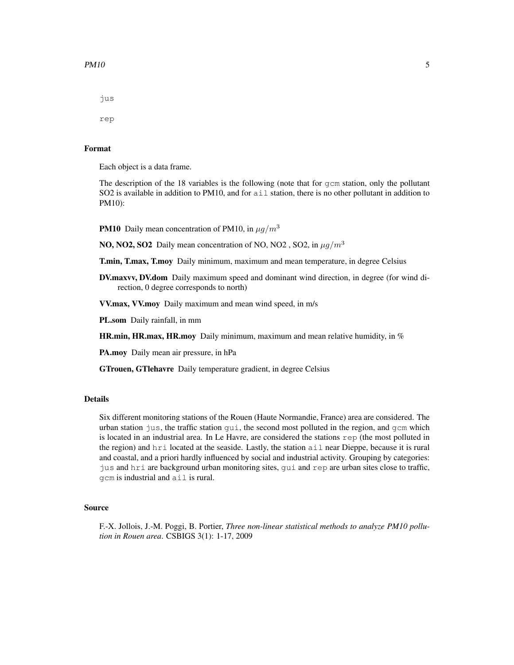#### $PM10$  5

jus

rep

# Format

Each object is a data frame.

The description of the 18 variables is the following (note that for gcm station, only the pollutant SO2 is available in addition to PM10, and for  $a \text{ i} 1$  station, there is no other pollutant in addition to PM10):

**PM10** Daily mean concentration of PM10, in  $\mu g/m^3$ 

**NO, NO2, SO2** Daily mean concentration of NO, NO2, SO2, in  $\mu q/m^3$ 

T.min, T.max, T.moy Daily minimum, maximum and mean temperature, in degree Celsius

DV.maxvv, DV.dom Daily maximum speed and dominant wind direction, in degree (for wind direction, 0 degree corresponds to north)

VV.max, VV.moy Daily maximum and mean wind speed, in m/s

PL.som Daily rainfall, in mm

**HR.min, HR.max, HR.moy** Daily minimum, maximum and mean relative humidity, in  $\%$ 

PA.moy Daily mean air pressure, in hPa

GTrouen, GTlehavre Daily temperature gradient, in degree Celsius

#### Details

Six different monitoring stations of the Rouen (Haute Normandie, France) area are considered. The urban station jus, the traffic station  $\text{qui}$ , the second most polluted in the region, and  $\text{gcm}$  which is located in an industrial area. In Le Havre, are considered the stations rep (the most polluted in the region) and hri located at the seaside. Lastly, the station ail near Dieppe, because it is rural and coastal, and a priori hardly influenced by social and industrial activity. Grouping by categories: jus and hri are background urban monitoring sites, gui and rep are urban sites close to traffic, gcm is industrial and ail is rural.

#### Source

F.-X. Jollois, J.-M. Poggi, B. Portier, *Three non-linear statistical methods to analyze PM10 pollution in Rouen area*. CSBIGS 3(1): 1-17, 2009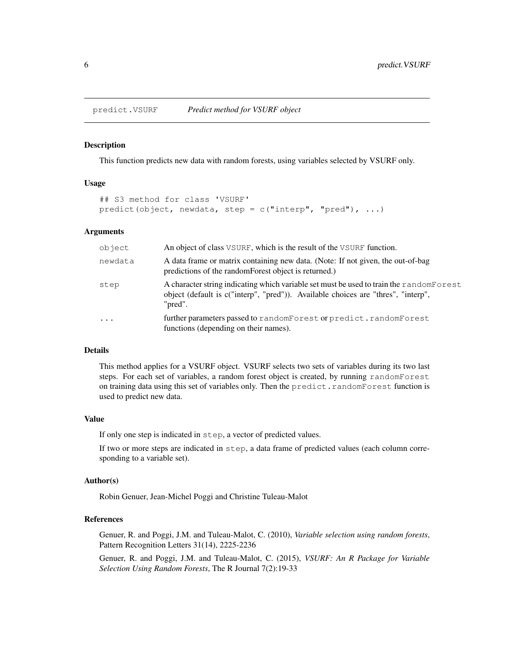#### Description

This function predicts new data with random forests, using variables selected by VSURF only.

# Usage

```
## S3 method for class 'VSURF'
predict(object, newdata, step = c("interp", "pred"), ...)
```
#### Arguments

| object     | An object of class VSURF, which is the result of the VSURF function.                                                                                                                    |
|------------|-----------------------------------------------------------------------------------------------------------------------------------------------------------------------------------------|
| newdata    | A data frame or matrix containing new data. (Note: If not given, the out-of-bag<br>predictions of the random Forest object is returned.)                                                |
| step       | A character string indicating which variable set must be used to train the randomForest<br>object (default is c("interp", "pred")). Available choices are "thres", "interp",<br>"pred". |
| $\ddots$ . | further parameters passed to randomForest or predict.randomForest<br>functions (depending on their names).                                                                              |

# Details

This method applies for a VSURF object. VSURF selects two sets of variables during its two last steps. For each set of variables, a random forest object is created, by running randomForest on training data using this set of variables only. Then the predict.randomForest function is used to predict new data.

#### Value

If only one step is indicated in step, a vector of predicted values.

If two or more steps are indicated in step, a data frame of predicted values (each column corresponding to a variable set).

#### Author(s)

Robin Genuer, Jean-Michel Poggi and Christine Tuleau-Malot

# References

Genuer, R. and Poggi, J.M. and Tuleau-Malot, C. (2010), *Variable selection using random forests*, Pattern Recognition Letters 31(14), 2225-2236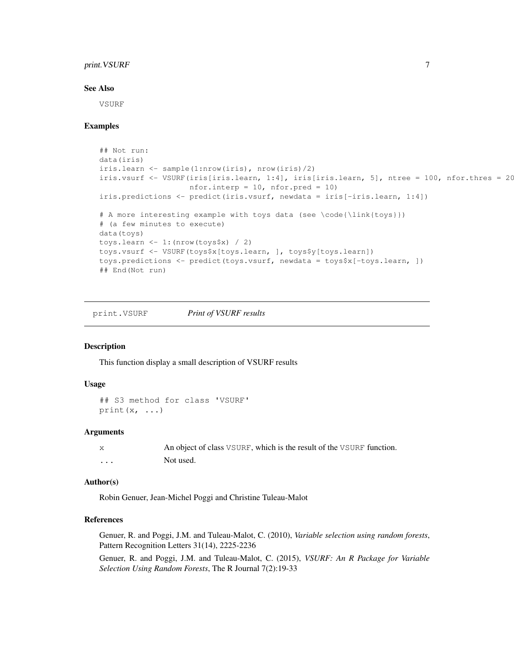# print.VSURF 7

#### See Also

VSURF

# Examples

```
## Not run:
data(iris)
iris.learn <- sample(1:nrow(iris), nrow(iris)/2)
iris.vsurf <- VSURF(iris[iris.learn, 1:4], iris[iris.learn, 5], ntree = 100, nfor.thres = 20
                    nfor.interp = 10, nfor.pred = 10)
iris.predictions <- predict(iris.vsurf, newdata = iris[-iris.learn, 1:4])
# A more interesting example with toys data (see \code{\link{toys}})
# (a few minutes to execute)
data(toys)
toys.learn \leftarrow 1: (nrow (toys$x) / 2)
toys.vsurf <- VSURF(toys$x[toys.learn, ], toys$y[toys.learn])
toys.predictions <- predict(toys.vsurf, newdata = toys$x[-toys.learn, ])
## End(Not run)
```
print.VSURF *Print of VSURF results*

# Description

This function display a small description of VSURF results

#### Usage

```
## S3 method for class 'VSURF'
print(x, \ldots)
```
# Arguments

|          | An object of class VSURF, which is the result of the VSURF function. |
|----------|----------------------------------------------------------------------|
| $\cdots$ | Not used.                                                            |

#### Author(s)

Robin Genuer, Jean-Michel Poggi and Christine Tuleau-Malot

# References

Genuer, R. and Poggi, J.M. and Tuleau-Malot, C. (2010), *Variable selection using random forests*, Pattern Recognition Letters 31(14), 2225-2236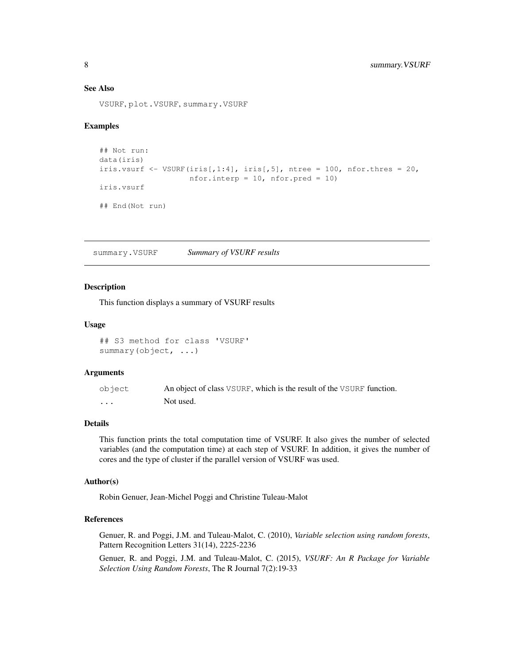# See Also

VSURF, plot.VSURF, summary.VSURF

#### Examples

```
## Not run:
data(iris)
iris.vsurf \leq VSURF(iris[,1:4], iris[,5], ntree = 100, nfor.thres = 20,
                    nfor.interp = 10, nfor.pred = 10)
iris.vsurf
## End(Not run)
```
summary.VSURF *Summary of VSURF results*

#### Description

This function displays a summary of VSURF results

#### Usage

```
## S3 method for class 'VSURF'
summary(object, ...)
```
#### Arguments

| object   | An object of class VSURF, which is the result of the VSURF function. |
|----------|----------------------------------------------------------------------|
| $\cdots$ | Not used.                                                            |

#### Details

This function prints the total computation time of VSURF. It also gives the number of selected variables (and the computation time) at each step of VSURF. In addition, it gives the number of cores and the type of cluster if the parallel version of VSURF was used.

#### Author(s)

Robin Genuer, Jean-Michel Poggi and Christine Tuleau-Malot

# References

Genuer, R. and Poggi, J.M. and Tuleau-Malot, C. (2010), *Variable selection using random forests*, Pattern Recognition Letters 31(14), 2225-2236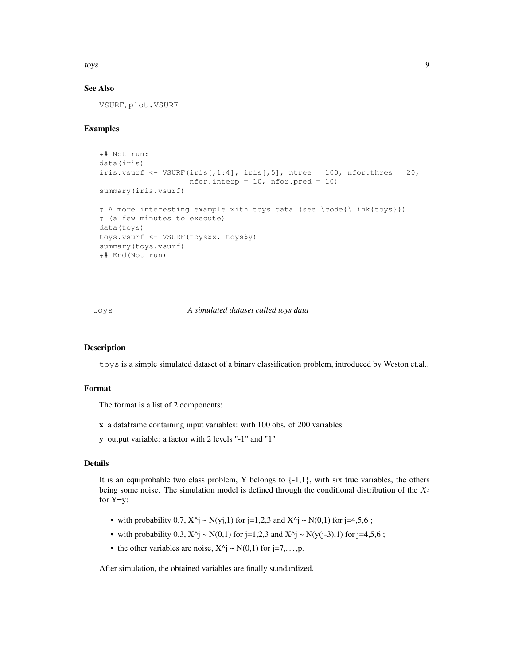toys to the contract of the contract of the contract of the contract of the contract of the contract of the contract of the contract of the contract of the contract of the contract of the contract of the contract of the co

# See Also

VSURF, plot.VSURF

# Examples

```
## Not run:
data(iris)
iris.vsurf \leq VSURF(iris[,1:4], iris[,5], ntree = 100, nfor.thres = 20,
                    nfor.interp = 10, nfor.pred = 10)
summary(iris.vsurf)
# A more interesting example with toys data (see \code{\link{toys}})
# (a few minutes to execute)
data(toys)
toys.vsurf <- VSURF(toys$x, toys$y)
summary(toys.vsurf)
## End(Not run)
```
# toys *A simulated dataset called toys data*

#### Description

toys is a simple simulated dataset of a binary classification problem, introduced by Weston et.al..

# Format

The format is a list of 2 components:

- x a dataframe containing input variables: with 100 obs. of 200 variables
- y output variable: a factor with 2 levels "-1" and "1"

#### Details

It is an equiprobable two class problem, Y belongs to {-1,1}, with six true variables, the others being some noise. The simulation model is defined through the conditional distribution of the  $X_i$ for Y=y:

- with probability 0.7,  $X^{\wedge}$  = N(yj,1) for j=1,2,3 and  $X^{\wedge}$  = N(0,1) for j=4,5,6 ;
- with probability 0.3,  $X^{\wedge}$   $\sim N(0,1)$  for j=1,2,3 and  $X^{\wedge}$   $\sim N(y(j-3),1)$  for j=4,5,6 ;
- the other variables are noise,  $X^{\wedge}$   $\sim N(0,1)$  for  $j=7,\ldots,p$ .

After simulation, the obtained variables are finally standardized.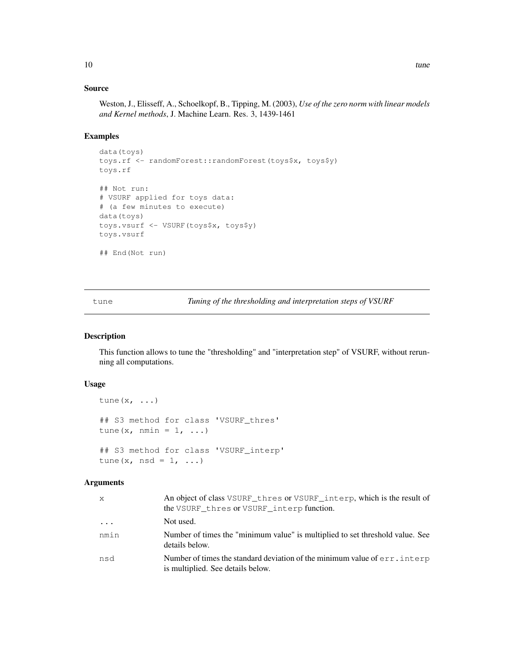# Source

Weston, J., Elisseff, A., Schoelkopf, B., Tipping, M. (2003), *Use of the zero norm with linear models and Kernel methods*, J. Machine Learn. Res. 3, 1439-1461

# Examples

```
data(toys)
toys.rf <- randomForest::randomForest(toys$x, toys$y)
toys.rf
## Not run:
# VSURF applied for toys data:
# (a few minutes to execute)
data(toys)
toys.vsurf <- VSURF(toys$x, toys$y)
toys.vsurf
## End(Not run)
```
tune *Tuning of the thresholding and interpretation steps of VSURF*

#### Description

This function allows to tune the "thresholding" and "interpretation step" of VSURF, without rerunning all computations.

# Usage

```
tune(x, ...)
## S3 method for class 'VSURF_thres'
tune(x, nmin = 1, ...)
## S3 method for class 'VSURF_interp'
tune(x, nsd = 1, ...)
```

| X.        | An object of class VSURF_thres or VSURF_interp, which is the result of<br>the VSURF thres or VSURF interp function. |
|-----------|---------------------------------------------------------------------------------------------------------------------|
| $\ddotsc$ | Not used.                                                                                                           |
| nmin      | Number of times the "minimum value" is multiplied to set threshold value. See<br>details below.                     |
| nsd       | Number of times the standard deviation of the minimum value of err. interp<br>is multiplied. See details below.     |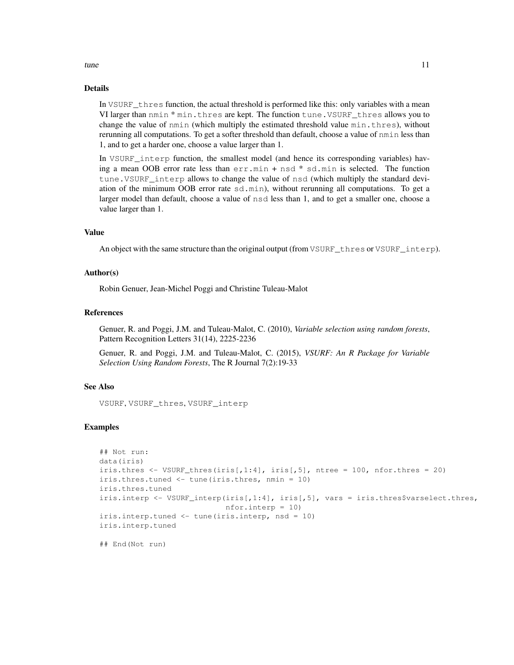# Details

In VSURF\_thres function, the actual threshold is performed like this: only variables with a mean VI larger than nmin \* min.thres are kept. The function tune.VSURF\_thres allows you to change the value of nmin (which multiply the estimated threshold value min.thres), without rerunning all computations. To get a softer threshold than default, choose a value of nmin less than 1, and to get a harder one, choose a value larger than 1.

In VSURF\_interp function, the smallest model (and hence its corresponding variables) having a mean OOB error rate less than err.min + nsd \* sd.min is selected. The function tune.VSURF\_interp allows to change the value of nsd (which multiply the standard deviation of the minimum OOB error rate sd.min), without rerunning all computations. To get a larger model than default, choose a value of nsd less than 1, and to get a smaller one, choose a value larger than 1.

#### Value

An object with the same structure than the original output (from VSURF\_thres or VSURF\_interp).

#### Author(s)

Robin Genuer, Jean-Michel Poggi and Christine Tuleau-Malot

#### References

Genuer, R. and Poggi, J.M. and Tuleau-Malot, C. (2010), *Variable selection using random forests*, Pattern Recognition Letters 31(14), 2225-2236

Genuer, R. and Poggi, J.M. and Tuleau-Malot, C. (2015), *VSURF: An R Package for Variable Selection Using Random Forests*, The R Journal 7(2):19-33

# See Also

VSURF, VSURF\_thres, VSURF\_interp

#### Examples

```
## Not run:
data(iris)
iris.thres \leq VSURF_thres(iris[,1:4], iris[,5], ntree = 100, nfor.thres = 20)
iris.thres.tuned <- tune(iris.thres, nmin = 10)
iris.thres.tuned
iris.interp <- VSURF_interp(iris[,1:4], iris[,5], vars = iris.thres$varselect.thres,
                            nfor.interp = 10)
iris.interp.tuned <- tune(iris.interp, nsd = 10)
iris.interp.tuned
```
## End(Not run)

#### tune the contract of the contract of the contract of the contract of the contract of the contract of the contract of the contract of the contract of the contract of the contract of the contract of the contract of the contr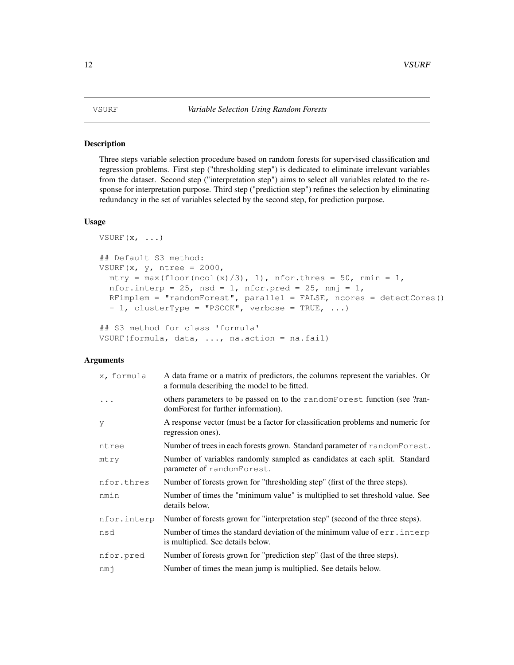#### Description

Three steps variable selection procedure based on random forests for supervised classification and regression problems. First step ("thresholding step") is dedicated to eliminate irrelevant variables from the dataset. Second step ("interpretation step") aims to select all variables related to the response for interpretation purpose. Third step ("prediction step") refines the selection by eliminating redundancy in the set of variables selected by the second step, for prediction purpose.

# Usage

```
VSURF(x, \ldots)## Default S3 method:
VSURF(x, y, ntree = 2000,
 mtry = max(floor(ncol(x)/3), 1), nfor. thres = 50, nmin = 1,
  nfor.interp = 25, nsd = 1, nfor.pred = 25, nmj = 1,
  RFimplem = "randomForest", parallel = FALSE, ncores = detectCores()
  - 1, clusterType = "PSOCK", verbose = TRUE, ...)
## S3 method for class 'formula'
```
# VSURF(formula, data, ..., na.action = na.fail)

| x, formula  | A data frame or a matrix of predictors, the columns represent the variables. Or<br>a formula describing the model to be fitted. |
|-------------|---------------------------------------------------------------------------------------------------------------------------------|
| $\ddots$    | others parameters to be passed on to the randomForest function (see ?ran-<br>domForest for further information).                |
| y           | A response vector (must be a factor for classification problems and numeric for<br>regression ones).                            |
| ntree       | Number of trees in each forests grown. Standard parameter of random Forest.                                                     |
| mtry        | Number of variables randomly sampled as candidates at each split. Standard<br>parameter of randomForest.                        |
| nfor.thres  | Number of forests grown for "thresholding step" (first of the three steps).                                                     |
| nmin        | Number of times the "minimum value" is multiplied to set threshold value. See<br>details below.                                 |
| nfor.interp | Number of forests grown for "interpretation step" (second of the three steps).                                                  |
| nsd         | Number of times the standard deviation of the minimum value of err. interp<br>is multiplied. See details below.                 |
| nfor.pred   | Number of forests grown for "prediction step" (last of the three steps).                                                        |
| nmi         | Number of times the mean jump is multiplied. See details below.                                                                 |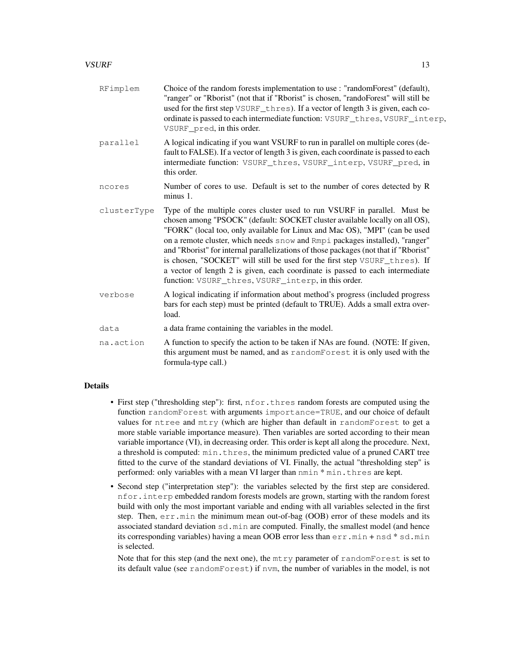# $VSURF$  13

| RFimplem    | Choice of the random forests implementation to use : "randomForest" (default),<br>"ranger" or "Rborist" (not that if "Rborist" is chosen, "randoForest" will still be<br>used for the first step VSURF_thres). If a vector of length 3 is given, each co-<br>ordinate is passed to each intermediate function: VSURF_thres, VSURF_interp,<br>VSURF_pred, in this order.                                                                                                                                                                                                                                                               |
|-------------|---------------------------------------------------------------------------------------------------------------------------------------------------------------------------------------------------------------------------------------------------------------------------------------------------------------------------------------------------------------------------------------------------------------------------------------------------------------------------------------------------------------------------------------------------------------------------------------------------------------------------------------|
| parallel    | A logical indicating if you want VSURF to run in parallel on multiple cores (de-<br>fault to FALSE). If a vector of length 3 is given, each coordinate is passed to each<br>intermediate function: VSURF_thres, VSURF_interp, VSURF_pred, in<br>this order.                                                                                                                                                                                                                                                                                                                                                                           |
| ncores      | Number of cores to use. Default is set to the number of cores detected by R<br>minus 1.                                                                                                                                                                                                                                                                                                                                                                                                                                                                                                                                               |
| clusterType | Type of the multiple cores cluster used to run VSURF in parallel. Must be<br>chosen among "PSOCK" (default: SOCKET cluster available locally on all OS),<br>"FORK" (local too, only available for Linux and Mac OS), "MPI" (can be used<br>on a remote cluster, which needs snow and Rmpi packages installed), "ranger"<br>and "Rborist" for internal parallelizations of those packages (not that if "Rborist"<br>is chosen, "SOCKET" will still be used for the first step VSURF_thres). If<br>a vector of length 2 is given, each coordinate is passed to each intermediate<br>function: VSURF_thres, VSURF_interp, in this order. |
| verbose     | A logical indicating if information about method's progress (included progress<br>bars for each step) must be printed (default to TRUE). Adds a small extra over-<br>load.                                                                                                                                                                                                                                                                                                                                                                                                                                                            |
| data        | a data frame containing the variables in the model.                                                                                                                                                                                                                                                                                                                                                                                                                                                                                                                                                                                   |
| na.action   | A function to specify the action to be taken if NAs are found. (NOTE: If given,<br>this argument must be named, and as randomForest it is only used with the<br>formula-type call.)                                                                                                                                                                                                                                                                                                                                                                                                                                                   |

#### Details

- First step ("thresholding step"): first, nfor.thres random forests are computed using the function randomForest with arguments importance=TRUE, and our choice of default values for ntree and mtry (which are higher than default in randomForest to get a more stable variable importance measure). Then variables are sorted according to their mean variable importance (VI), in decreasing order. This order is kept all along the procedure. Next, a threshold is computed: min.thres, the minimum predicted value of a pruned CART tree fitted to the curve of the standard deviations of VI. Finally, the actual "thresholding step" is performed: only variables with a mean VI larger than nmin \* min.thres are kept.
- Second step ("interpretation step"): the variables selected by the first step are considered. nfor.interp embedded random forests models are grown, starting with the random forest build with only the most important variable and ending with all variables selected in the first step. Then, err.min the minimum mean out-of-bag (OOB) error of these models and its associated standard deviation sd.min are computed. Finally, the smallest model (and hence its corresponding variables) having a mean OOB error less than  $err \cdot min + nsd * sd \cdot min$ is selected.

Note that for this step (and the next one), the  $m$ try parameter of randomForest is set to its default value (see randomForest) if nvm, the number of variables in the model, is not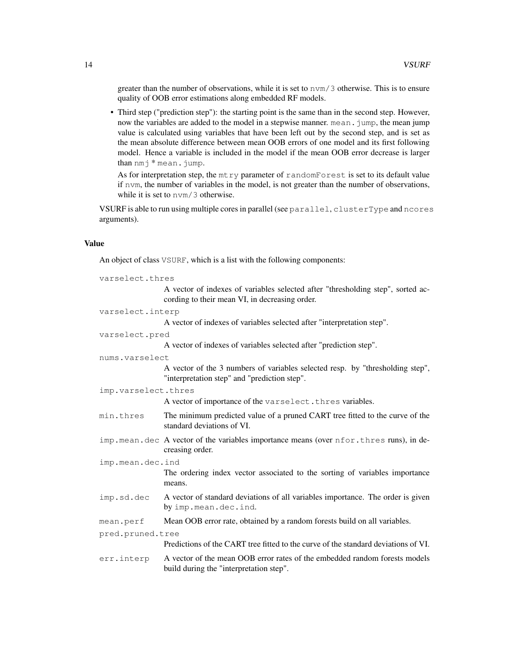greater than the number of observations, while it is set to nvm/3 otherwise. This is to ensure quality of OOB error estimations along embedded RF models.

• Third step ("prediction step"): the starting point is the same than in the second step. However, now the variables are added to the model in a stepwise manner. mean. jump, the mean jump value is calculated using variables that have been left out by the second step, and is set as the mean absolute difference between mean OOB errors of one model and its first following model. Hence a variable is included in the model if the mean OOB error decrease is larger than nmj \* mean.jump.

As for interpretation step, the mtry parameter of randomForest is set to its default value if nvm, the number of variables in the model, is not greater than the number of observations, while it is set to  $nvm/3$  otherwise.

VSURF is able to run using multiple cores in parallel (see parallel, clusterType and ncores arguments).

#### Value

An object of class VSURF, which is a list with the following components:

| varselect.thres     |                                                                                                                                   |  |
|---------------------|-----------------------------------------------------------------------------------------------------------------------------------|--|
|                     | A vector of indexes of variables selected after "thresholding step", sorted ac-<br>cording to their mean VI, in decreasing order. |  |
| varselect.interp    |                                                                                                                                   |  |
|                     | A vector of indexes of variables selected after "interpretation step".                                                            |  |
| varselect.pred      |                                                                                                                                   |  |
|                     | A vector of indexes of variables selected after "prediction step".                                                                |  |
| nums.varselect      |                                                                                                                                   |  |
|                     | A vector of the 3 numbers of variables selected resp. by "thresholding step",<br>"interpretation step" and "prediction step".     |  |
| imp.varselect.thres |                                                                                                                                   |  |
|                     | A vector of importance of the varselect. thres variables.                                                                         |  |
| min.thres           | The minimum predicted value of a pruned CART tree fitted to the curve of the<br>standard deviations of VI.                        |  |
|                     | imp. mean. dec A vector of the variables importance means (over nfor. thres runs), in de-<br>creasing order.                      |  |
| imp.mean.dec.ind    |                                                                                                                                   |  |
|                     | The ordering index vector associated to the sorting of variables importance<br>means.                                             |  |
| imp.sd.dec          | A vector of standard deviations of all variables importance. The order is given<br>by imp.mean.dec.ind.                           |  |
| mean.perf           | Mean OOB error rate, obtained by a random forests build on all variables.                                                         |  |
| pred.pruned.tree    |                                                                                                                                   |  |
|                     | Predictions of the CART tree fitted to the curve of the standard deviations of VI.                                                |  |
| err.interp          | A vector of the mean OOB error rates of the embedded random forests models<br>build during the "interpretation step".             |  |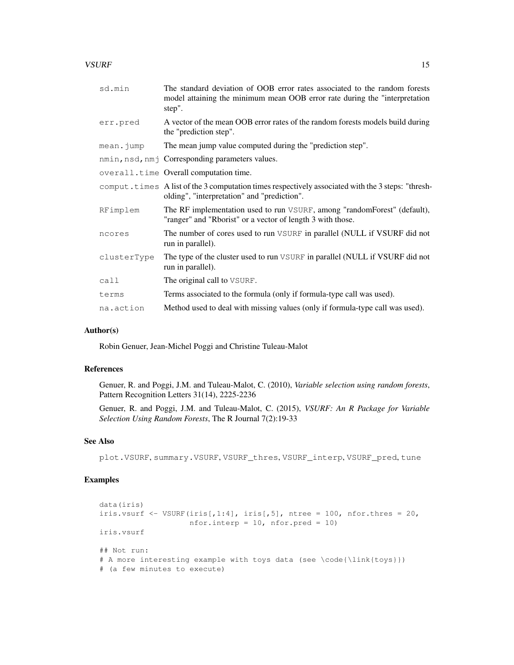# $VSURF$  15

| sd.min      | The standard deviation of OOB error rates associated to the random forests<br>model attaining the minimum mean OOB error rate during the "interpretation<br>step". |
|-------------|--------------------------------------------------------------------------------------------------------------------------------------------------------------------|
| err.pred    | A vector of the mean OOB error rates of the random forests models build during<br>the "prediction step".                                                           |
| mean.jump   | The mean jump value computed during the "prediction step".                                                                                                         |
|             | nmin, nsd, nmj Corresponding parameters values.                                                                                                                    |
|             | overall.time Overall computation time.                                                                                                                             |
|             | comput. times A list of the 3 computation times respectively associated with the 3 steps: "thresh-<br>olding", "interpretation" and "prediction".                  |
| RFimplem    | The RF implementation used to run VSURF, among "randomForest" (default),<br>"ranger" and "Rborist" or a vector of length 3 with those.                             |
| ncores      | The number of cores used to run VSURF in parallel (NULL if VSURF did not<br>run in parallel).                                                                      |
| clusterType | The type of the cluster used to run VSURF in parallel (NULL if VSURF did not<br>run in parallel).                                                                  |
| call        | The original call to VSURF.                                                                                                                                        |
| terms       | Terms associated to the formula (only if formula-type call was used).                                                                                              |
| na.action   | Method used to deal with missing values (only if formula-type call was used).                                                                                      |

#### Author(s)

Robin Genuer, Jean-Michel Poggi and Christine Tuleau-Malot

# References

Genuer, R. and Poggi, J.M. and Tuleau-Malot, C. (2010), *Variable selection using random forests*, Pattern Recognition Letters 31(14), 2225-2236

Genuer, R. and Poggi, J.M. and Tuleau-Malot, C. (2015), *VSURF: An R Package for Variable Selection Using Random Forests*, The R Journal 7(2):19-33

# See Also

plot.VSURF, summary.VSURF, VSURF\_thres, VSURF\_interp, VSURF\_pred, tune

# Examples

```
data(iris)
iris.vsurf \leq VSURF(iris[,1:4], iris[,5], ntree = 100, nfor.thres = 20,
                  nfor.interp = 10, nfor.pred = 10)
iris.vsurf
## Not run:
# A more interesting example with toys data (see \code{\link{toys}})
# (a few minutes to execute)
```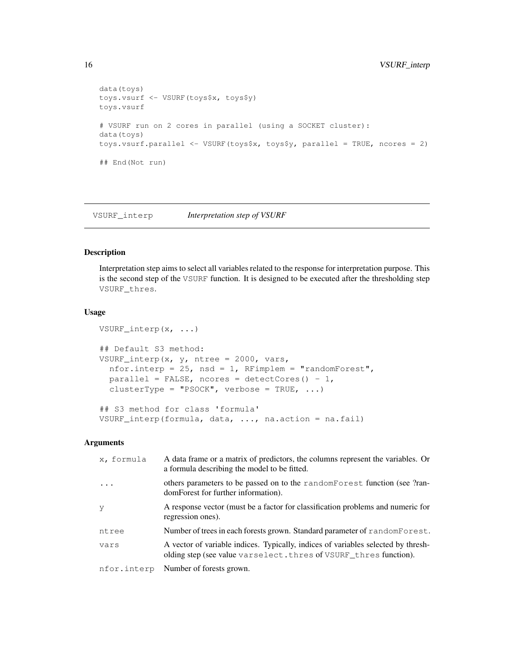```
data(toys)
toys.vsurf <- VSURF(toys$x, toys$y)
toys.vsurf
# VSURF run on 2 cores in parallel (using a SOCKET cluster):
data(toys)
toys.vsurf.parallel <- VSURF(toys$x, toys$y, parallel = TRUE, ncores = 2)
## End(Not run)
```
VSURF\_interp *Interpretation step of VSURF*

#### Description

Interpretation step aims to select all variables related to the response for interpretation purpose. This is the second step of the VSURF function. It is designed to be executed after the thresholding step VSURF\_thres.

#### Usage

```
VSURF_interp(x, ...)
## Default S3 method:
VSURF_interp(x, y, ntree = 2000, vars,
  nfor.interp = 25, nsd = 1, RFimplem = "randomForest",
  parallel = FALSE, ncores = detectCores() - 1,
  clusterType = "PSOCK", verbose = TRUE, ...)
## S3 method for class 'formula'
VSURF_interp(formula, data, ..., na.action = na.fail)
```

| x, formula  | A data frame or a matrix of predictors, the columns represent the variables. Or<br>a formula describing the model to be fitted.                       |
|-------------|-------------------------------------------------------------------------------------------------------------------------------------------------------|
| $\ddots$    | others parameters to be passed on to the random Forest function (see ?ran-<br>domForest for further information).                                     |
| - y         | A response vector (must be a factor for classification problems and numeric for<br>regression ones).                                                  |
| ntree       | Number of trees in each forests grown. Standard parameter of random Forest.                                                                           |
| vars        | A vector of variable indices. Typically, indices of variables selected by thresh-<br>olding step (see value varselect.thres of VSURF_thres function). |
| nfor.interp | Number of forests grown.                                                                                                                              |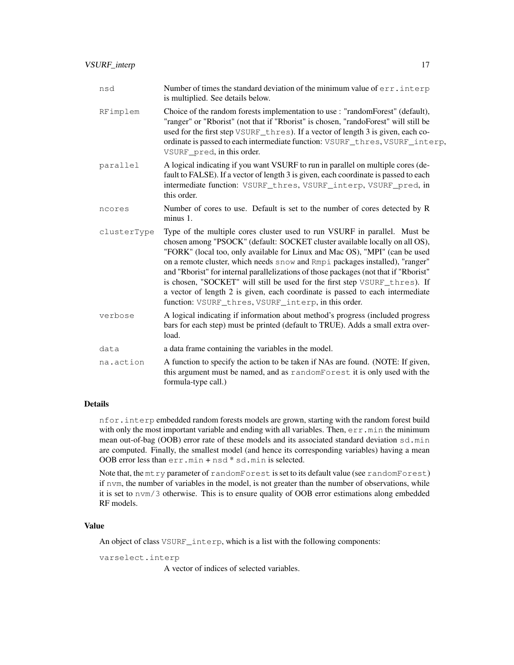| nsd         | Number of times the standard deviation of the minimum value of $err$ , interp<br>is multiplied. See details below.                                                                                                                                                                                                                                                                                                                                                                                                                                                                                                                    |
|-------------|---------------------------------------------------------------------------------------------------------------------------------------------------------------------------------------------------------------------------------------------------------------------------------------------------------------------------------------------------------------------------------------------------------------------------------------------------------------------------------------------------------------------------------------------------------------------------------------------------------------------------------------|
| RFimplem    | Choice of the random forests implementation to use : "randomForest" (default),<br>"ranger" or "Rborist" (not that if "Rborist" is chosen, "randoForest" will still be<br>used for the first step VSURF_thres). If a vector of length 3 is given, each co-<br>ordinate is passed to each intermediate function: VSURF_thres, VSURF_interp,<br>VSURF_pred, in this order.                                                                                                                                                                                                                                                               |
| parallel    | A logical indicating if you want VSURF to run in parallel on multiple cores (de-<br>fault to FALSE). If a vector of length 3 is given, each coordinate is passed to each<br>intermediate function: VSURF_thres, VSURF_interp, VSURF_pred, in<br>this order.                                                                                                                                                                                                                                                                                                                                                                           |
| ncores      | Number of cores to use. Default is set to the number of cores detected by R<br>minus 1.                                                                                                                                                                                                                                                                                                                                                                                                                                                                                                                                               |
| clusterType | Type of the multiple cores cluster used to run VSURF in parallel. Must be<br>chosen among "PSOCK" (default: SOCKET cluster available locally on all OS),<br>"FORK" (local too, only available for Linux and Mac OS), "MPI" (can be used<br>on a remote cluster, which needs snow and Rmpi packages installed), "ranger"<br>and "Rborist" for internal parallelizations of those packages (not that if "Rborist"<br>is chosen, "SOCKET" will still be used for the first step VSURF_thres). If<br>a vector of length 2 is given, each coordinate is passed to each intermediate<br>function: VSURF_thres, VSURF_interp, in this order. |
| verbose     | A logical indicating if information about method's progress (included progress<br>bars for each step) must be printed (default to TRUE). Adds a small extra over-<br>load.                                                                                                                                                                                                                                                                                                                                                                                                                                                            |
| data        | a data frame containing the variables in the model.                                                                                                                                                                                                                                                                                                                                                                                                                                                                                                                                                                                   |
| na.action   | A function to specify the action to be taken if NAs are found. (NOTE: If given,<br>this argument must be named, and as randomForest it is only used with the<br>formula-type call.)                                                                                                                                                                                                                                                                                                                                                                                                                                                   |

# Details

nfor.interp embedded random forests models are grown, starting with the random forest build with only the most important variable and ending with all variables. Then,  $err \cdot min$  the minimum mean out-of-bag (OOB) error rate of these models and its associated standard deviation sd.min are computed. Finally, the smallest model (and hence its corresponding variables) having a mean OOB error less than err.min + nsd \* sd.min is selected.

Note that, the mtry parameter of randomForest is set to its default value (see randomForest) if nvm, the number of variables in the model, is not greater than the number of observations, while it is set to nvm/3 otherwise. This is to ensure quality of OOB error estimations along embedded RF models.

# Value

An object of class VSURF\_interp, which is a list with the following components:

varselect.interp

A vector of indices of selected variables.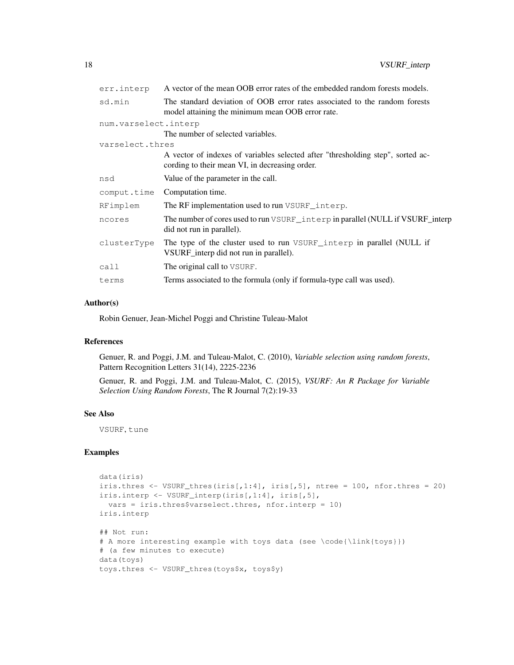| err.interp           | A vector of the mean OOB error rates of the embedded random forests models.                                                       |
|----------------------|-----------------------------------------------------------------------------------------------------------------------------------|
| sd.min               | The standard deviation of OOB error rates associated to the random forests<br>model attaining the minimum mean OOB error rate.    |
| num.varselect.interp |                                                                                                                                   |
|                      | The number of selected variables.                                                                                                 |
| varselect.thres      |                                                                                                                                   |
|                      | A vector of indexes of variables selected after "thresholding step", sorted ac-<br>cording to their mean VI, in decreasing order. |
| nsd                  | Value of the parameter in the call.                                                                                               |
| comput.time          | Computation time.                                                                                                                 |
| RFimplem             | The RF implementation used to run VSURF _interp.                                                                                  |
| ncores               | The number of cores used to run VSURF interp in parallel (NULL if VSURF interp<br>did not run in parallel).                       |
| clusterType          | The type of the cluster used to run VSURF_interp in parallel (NULL if<br>VSURF_interp did not run in parallel).                   |
| call                 | The original call to VSURF.                                                                                                       |
| terms                | Terms associated to the formula (only if formula-type call was used).                                                             |
|                      |                                                                                                                                   |

#### Author(s)

Robin Genuer, Jean-Michel Poggi and Christine Tuleau-Malot

# References

Genuer, R. and Poggi, J.M. and Tuleau-Malot, C. (2010), *Variable selection using random forests*, Pattern Recognition Letters 31(14), 2225-2236

Genuer, R. and Poggi, J.M. and Tuleau-Malot, C. (2015), *VSURF: An R Package for Variable Selection Using Random Forests*, The R Journal 7(2):19-33

# See Also

VSURF, tune

# Examples

```
data(iris)
iris.thres \leq VSURF_thres(iris[,1:4], iris[,5], ntree = 100, nfor.thres = 20)
iris.interp <- VSURF_interp(iris[,1:4], iris[,5],
 vars = iris.thres$varselect.thres, nfor.interp = 10)
iris.interp
## Not run:
# A more interesting example with toys data (see \code{\link{toys}})
# (a few minutes to execute)
data(toys)
toys.thres <- VSURF_thres(toys$x, toys$y)
```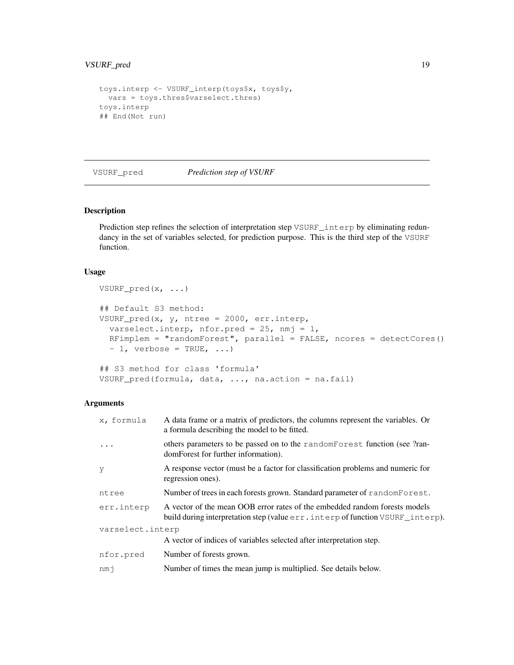# VSURF\_pred 19

```
toys.interp <- VSURF_interp(toys$x, toys$y,
 vars = toys.thres$varselect.thres)
toys.interp
## End(Not run)
```
#### VSURF\_pred *Prediction step of VSURF*

# Description

Prediction step refines the selection of interpretation step VSURF\_interp by eliminating redundancy in the set of variables selected, for prediction purpose. This is the third step of the VSURF function.

# Usage

```
VSURF_pred(x, ...)
## Default S3 method:
VSURF_pred(x, y, ntree = 2000, err.interp,
  varselect.interp, nfor.pred = 25, nmj = 1,
  RFimplem = "randomForest", parallel = FALSE, ncores = detectCores()
  -1, verbose = TRUE, ...)
## S3 method for class 'formula'
```

```
VSURF_pred(formula, data, ..., na.action = na.fail)
```

| x, formula       | A data frame or a matrix of predictors, the columns represent the variables. Or<br>a formula describing the model to be fitted.                               |
|------------------|---------------------------------------------------------------------------------------------------------------------------------------------------------------|
| $\cdot$          | others parameters to be passed on to the random Forest function (see ?ran-<br>domForest for further information).                                             |
| У                | A response vector (must be a factor for classification problems and numeric for<br>regression ones).                                                          |
| ntree            | Number of trees in each forests grown. Standard parameter of randomForest.                                                                                    |
| err.interp       | A vector of the mean OOB error rates of the embedded random forests models<br>build during interpretation step (value err. interp of function VSURF _interp). |
| varselect.interp |                                                                                                                                                               |
|                  | A vector of indices of variables selected after interpretation step.                                                                                          |
| nfor.pred        | Number of forests grown.                                                                                                                                      |
| nmi              | Number of times the mean jump is multiplied. See details below.                                                                                               |
|                  |                                                                                                                                                               |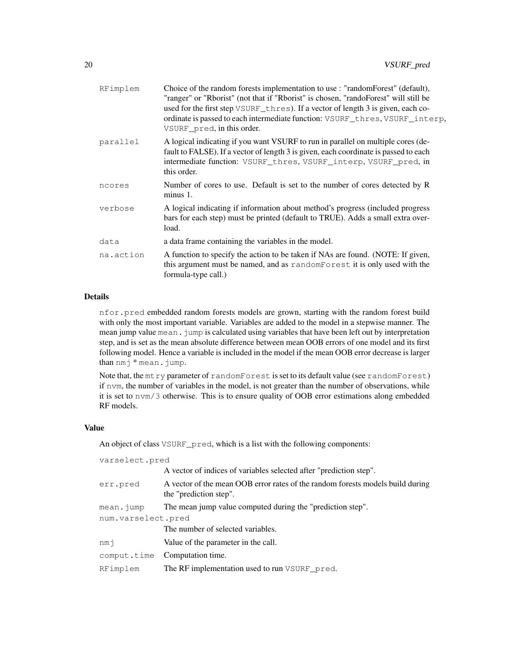| RFimplem  | Choice of the random forests implementation to use : "random Forest" (default),<br>"ranger" or "Rborist" (not that if "Rborist" is chosen, "randoForest" will still be<br>used for the first step VSURF thres). If a vector of length 3 is given, each co-<br>ordinate is passed to each intermediate function: VSURF_thres, VSURF_interp,<br>VSURF pred, in this order. |
|-----------|--------------------------------------------------------------------------------------------------------------------------------------------------------------------------------------------------------------------------------------------------------------------------------------------------------------------------------------------------------------------------|
| parallel  | A logical indicating if you want VSURF to run in parallel on multiple cores (de-<br>fault to FALSE). If a vector of length 3 is given, each coordinate is passed to each<br>intermediate function: VSURF_thres, VSURF_interp, VSURF_pred, in<br>this order.                                                                                                              |
| ncores    | Number of cores to use. Default is set to the number of cores detected by R<br>minus 1.                                                                                                                                                                                                                                                                                  |
| verbose   | A logical indicating if information about method's progress (included progress<br>bars for each step) must be printed (default to TRUE). Adds a small extra over-<br>load.                                                                                                                                                                                               |
| data      | a data frame containing the variables in the model.                                                                                                                                                                                                                                                                                                                      |
| na.action | A function to specify the action to be taken if NAs are found. (NOTE: If given,<br>this argument must be named, and as randomForest it is only used with the<br>formula-type call.)                                                                                                                                                                                      |

# Details

nfor.pred embedded random forests models are grown, starting with the random forest build with only the most important variable. Variables are added to the model in a stepwise manner. The mean jump value mean. jump is calculated using variables that have been left out by interpretation step, and is set as the mean absolute difference between mean OOB errors of one model and its first following model. Hence a variable is included in the model if the mean OOB error decrease is larger than nmj \* mean.jump.

Note that, the mtry parameter of randomForest is set to its default value (see randomForest) if nvm, the number of variables in the model, is not greater than the number of observations, while it is set to nvm/3 otherwise. This is to ensure quality of OOB error estimations along embedded RF models.

#### Value

An object of class VSURF\_pred, which is a list with the following components:

| varselect.pred     |                                                                                                          |
|--------------------|----------------------------------------------------------------------------------------------------------|
|                    | A vector of indices of variables selected after "prediction step".                                       |
| err.pred           | A vector of the mean OOB error rates of the random forests models build during<br>the "prediction step". |
| $mean$ . $jump$    | The mean jump value computed during the "prediction step".                                               |
| num.varselect.pred |                                                                                                          |
|                    | The number of selected variables.                                                                        |
| nmi                | Value of the parameter in the call.                                                                      |
| comput.time        | Computation time.                                                                                        |
| RFimplem           | The RF implementation used to run VSURF pred.                                                            |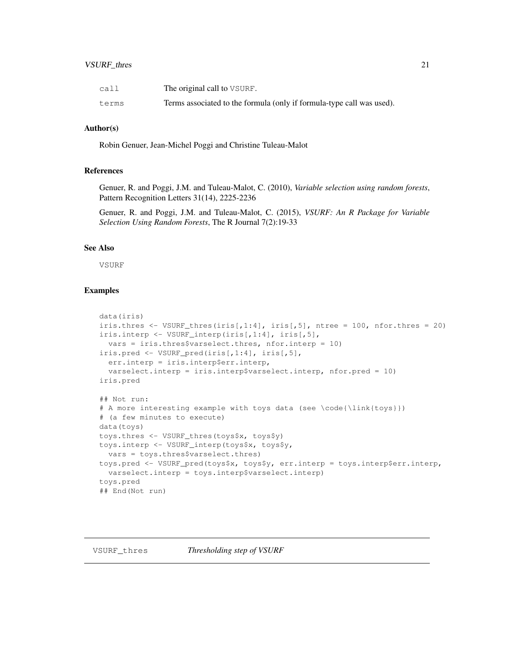# VSURF\_thres 21

| call  | The original call to VSURF.                                           |
|-------|-----------------------------------------------------------------------|
| terms | Terms associated to the formula (only if formula-type call was used). |

# Author(s)

Robin Genuer, Jean-Michel Poggi and Christine Tuleau-Malot

# References

Genuer, R. and Poggi, J.M. and Tuleau-Malot, C. (2010), *Variable selection using random forests*, Pattern Recognition Letters 31(14), 2225-2236

Genuer, R. and Poggi, J.M. and Tuleau-Malot, C. (2015), *VSURF: An R Package for Variable Selection Using Random Forests*, The R Journal 7(2):19-33

# See Also

VSURF

# Examples

```
data(iris)
iris.thres \leq VSURF_thres(iris[,1:4], iris[,5], ntree = 100, nfor.thres = 20)
iris.interp <- VSURF_interp(iris[,1:4], iris[,5],
 vars = iris.thres$varselect.thres, nfor.interp = 10)
iris.pred <- VSURF_pred(iris[,1:4], iris[,5],
 err.interp = iris.interp$err.interp,
 varselect.interp = iris.interp$varselect.interp, nfor.pred = 10)
iris.pred
## Not run:
# A more interesting example with toys data (see \code{\link{toys}})
# (a few minutes to execute)
data(toys)
toys.thres <- VSURF_thres(toys$x, toys$y)
toys.interp <- VSURF_interp(toys$x, toys$y,
 vars = toys.thres$varselect.thres)
toys.pred <- VSURF pred(toys$x, toys$y, err.interp = toys.interp$err.interp,
 varselect.interp = toys.interp$varselect.interp)
toys.pred
## End(Not run)
```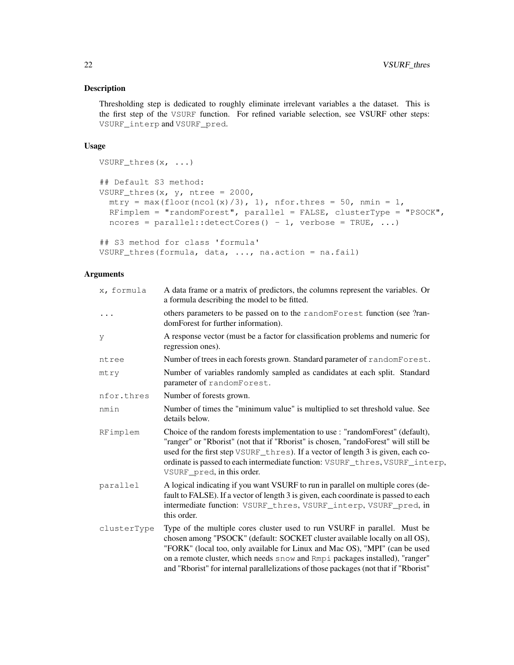# Description

Thresholding step is dedicated to roughly eliminate irrelevant variables a the dataset. This is the first step of the VSURF function. For refined variable selection, see VSURF other steps: VSURF\_interp and VSURF\_pred.

# Usage

```
VSURF_thres(x, ...)
## Default S3 method:
VSURF_thres(x, y, ntree = 2000,
  mtry = max(floor(ncol(x)/3), 1), nfor.thres = 50, nmin = 1,RFimplem = "randomForest", parallel = FALSE, clusterType = "PSOCK",
  ncores = parallel::detectCores() - 1, verbose = TRUE, ...)## S3 method for class 'formula'
```

```
VSURF_thres(formula, data, ..., na.action = na.fail)
```

| x, formula  | A data frame or a matrix of predictors, the columns represent the variables. Or<br>a formula describing the model to be fitted.                                                                                                                                                                                                                                                                                 |
|-------------|-----------------------------------------------------------------------------------------------------------------------------------------------------------------------------------------------------------------------------------------------------------------------------------------------------------------------------------------------------------------------------------------------------------------|
| $\ddots$    | others parameters to be passed on to the randomForest function (see ?ran-<br>domForest for further information).                                                                                                                                                                                                                                                                                                |
| y           | A response vector (must be a factor for classification problems and numeric for<br>regression ones).                                                                                                                                                                                                                                                                                                            |
| ntree       | Number of trees in each forests grown. Standard parameter of randomForest.                                                                                                                                                                                                                                                                                                                                      |
| mtry        | Number of variables randomly sampled as candidates at each split. Standard<br>parameter of randomForest.                                                                                                                                                                                                                                                                                                        |
| nfor.thres  | Number of forests grown.                                                                                                                                                                                                                                                                                                                                                                                        |
| nmin        | Number of times the "minimum value" is multiplied to set threshold value. See<br>details below.                                                                                                                                                                                                                                                                                                                 |
| RFimplem    | Choice of the random forests implementation to use : "randomForest" (default),<br>"ranger" or "Rborist" (not that if "Rborist" is chosen, "randoForest" will still be<br>used for the first step VSURF_thres). If a vector of length 3 is given, each co-<br>ordinate is passed to each intermediate function: VSURF_thres, VSURF_interp,<br>VSURF pred, in this order.                                         |
| parallel    | A logical indicating if you want VSURF to run in parallel on multiple cores (de-<br>fault to FALSE). If a vector of length 3 is given, each coordinate is passed to each<br>intermediate function: VSURF_thres, VSURF_interp, VSURF_pred, in<br>this order.                                                                                                                                                     |
| clusterType | Type of the multiple cores cluster used to run VSURF in parallel. Must be<br>chosen among "PSOCK" (default: SOCKET cluster available locally on all OS),<br>"FORK" (local too, only available for Linux and Mac OS), "MPI" (can be used<br>on a remote cluster, which needs snow and Rmpi packages installed), "ranger"<br>and "Rborist" for internal parallelizations of those packages (not that if "Rborist" |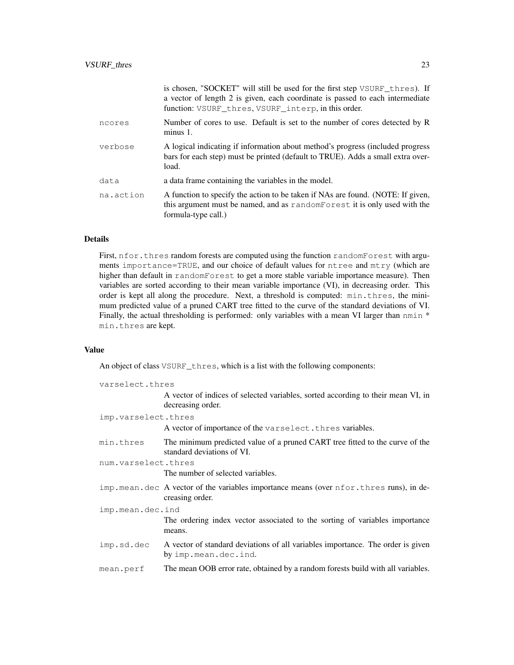|           | is chosen, "SOCKET" will still be used for the first step VSURF thres). If<br>a vector of length 2 is given, each coordinate is passed to each intermediate<br>function: VSURF_thres, VSURF_interp, in this order. |
|-----------|--------------------------------------------------------------------------------------------------------------------------------------------------------------------------------------------------------------------|
| ncores    | Number of cores to use. Default is set to the number of cores detected by R<br>$minus 1$ .                                                                                                                         |
| verbose   | A logical indicating if information about method's progress (included progress<br>bars for each step) must be printed (default to TRUE). Adds a small extra over-<br>load.                                         |
| data      | a data frame containing the variables in the model.                                                                                                                                                                |
| na.action | A function to specify the action to be taken if NAs are found. (NOTE: If given,<br>this argument must be named, and as randomForest it is only used with the<br>formula-type call.)                                |

# Details

First, nfor.thres random forests are computed using the function randomForest with arguments importance=TRUE, and our choice of default values for ntree and mtry (which are higher than default in randomForest to get a more stable variable importance measure). Then variables are sorted according to their mean variable importance (VI), in decreasing order. This order is kept all along the procedure. Next, a threshold is computed: min.thres, the minimum predicted value of a pruned CART tree fitted to the curve of the standard deviations of VI. Finally, the actual thresholding is performed: only variables with a mean VI larger than nmin \* min.thres are kept.

#### Value

An object of class VSURF\_thres, which is a list with the following components:

| varselect.thres     |                                                                                                              |
|---------------------|--------------------------------------------------------------------------------------------------------------|
|                     | A vector of indices of selected variables, sorted according to their mean VI, in<br>decreasing order.        |
| imp.varselect.thres |                                                                                                              |
|                     | A vector of importance of the varselect. thres variables.                                                    |
| min.thres           | The minimum predicted value of a pruned CART tree fitted to the curve of the<br>standard deviations of VI.   |
| num.varselect.thres |                                                                                                              |
|                     | The number of selected variables.                                                                            |
|                     | imp. mean. dec A vector of the variables importance means (over nfor. thres runs), in de-<br>creasing order. |
| imp.mean.dec.ind    |                                                                                                              |
|                     | The ordering index vector associated to the sorting of variables importance<br>means.                        |
| imp.sd.dec          | A vector of standard deviations of all variables importance. The order is given<br>by imp.mean.dec.ind.      |
| mean.perf           | The mean OOB error rate, obtained by a random forests build with all variables.                              |